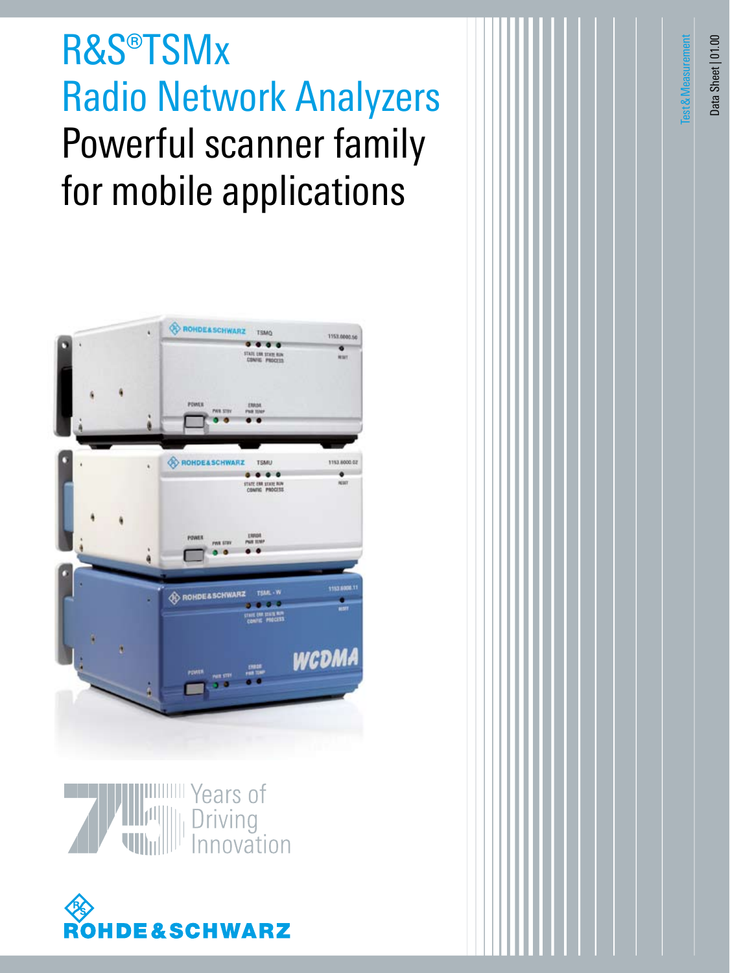# R&S®TSMx Radio Network Analyzers Powerful scanner family for mobile applications







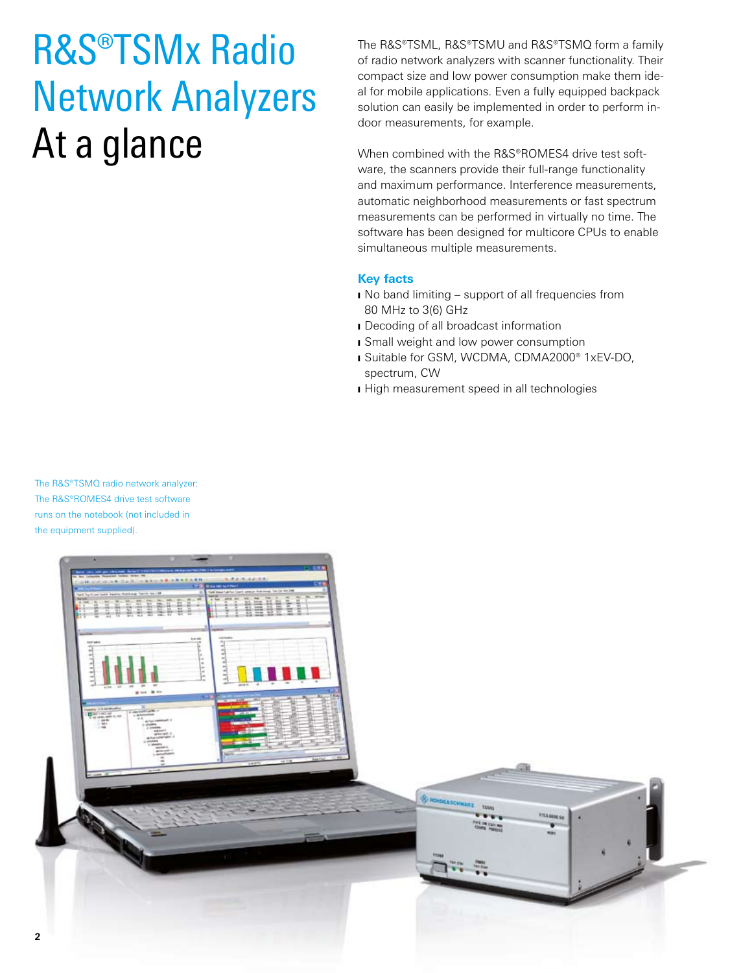# R&S®TSMx Radio Network Analyzers At a glance

The R&S®TSML, R&S®TSMU and R&S®TSMQ form a family of radio network analyzers with scanner functionality. Their compact size and low power consumption make them ideal for mobile applications. Even a fully equipped backpack solution can easily be implemented in order to perform indoor measurements, for example.

When combined with the R&S®ROMES4 drive test software, the scanners provide their full-range functionality and maximum performance. Interference measurements, automatic neighborhood measurements or fast spectrum measurements can be performed in virtually no time. The software has been designed for multicore CPUs to enable simultaneous multiple measurements.

### **Key facts**

- I No band limiting support of all frequencies from 80 MHz to 3(6) GHz
- **I** Decoding of all broadcast information
- **I** Small weight and low power consumption
- I Suitable for GSM, WCDMA, CDMA2000® 1xEV-DO, spectrum, CW
- **I** High measurement speed in all technologies

The R&S®TSMQ radio network analyzer: The R&S®ROMES4 drive test software runs on the notebook (not included in the equipment supplied).

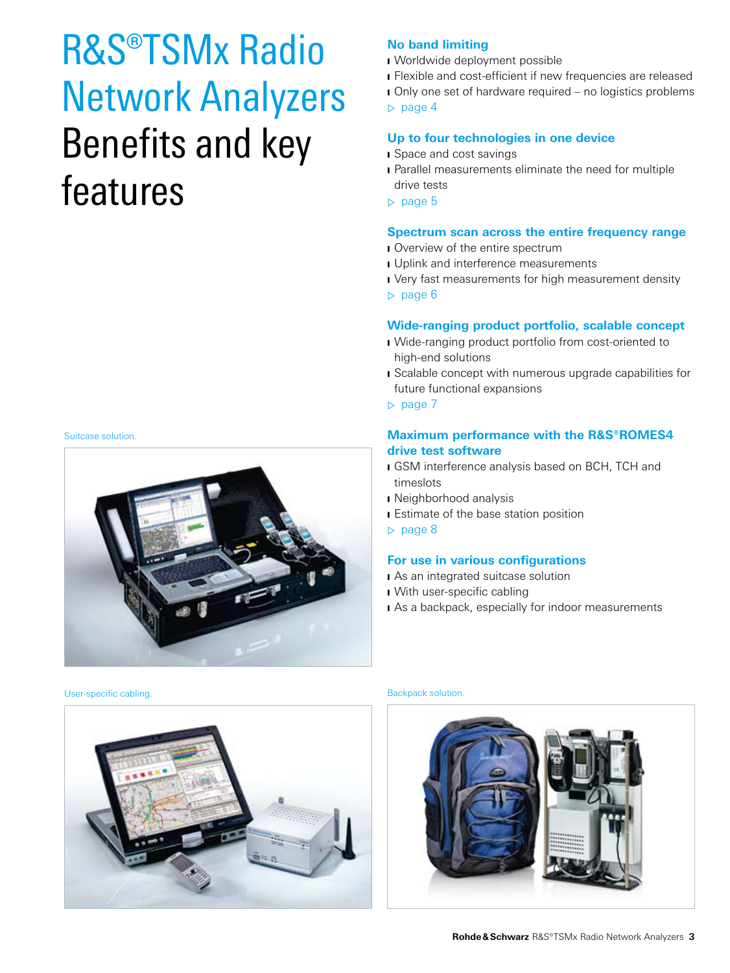## R&S®TSMx Radio Network Analyzers Benefits and key features

#### Suitcase solution.



### **No band limiting**

- I Worldwide deployment possible
- **I** Flexible and cost-efficient if new frequencies are released
- I Only one set of hardware required no logistics problems

▷ page 4

## **Up to four technologies in one device**

- **I** Space and cost savings
- **I** Parallel measurements eliminate the need for multiple drive tests
- ▷ page 5

### **Spectrum scan across the entire frequency range**

- I Overview of the entire spectrum
- **J** Uplink and interference measurements
- I Very fast measurements for high measurement density ▷ page 6

### **Wide-ranging product portfolio, scalable concept**

- I Wide-ranging product portfolio from cost-oriented to high-end solutions
- **I** Scalable concept with numerous upgrade capabilities for future functional expansions
- ▷ page 7

### **Maximum performance with the R&S®ROMES4 drive test software**

- **I** GSM interference analysis based on BCH, TCH and timeslots
- **I** Neighborhood analysis
- **I** Estimate of the base station position
- ▷ page 8

### **For use in various configurations**

- I As an integrated suitcase solution
- I With user-specific cabling
- I As a backpack, especially for indoor measurements

User-specific cabling. **Backpack solution.** Backpack solution.



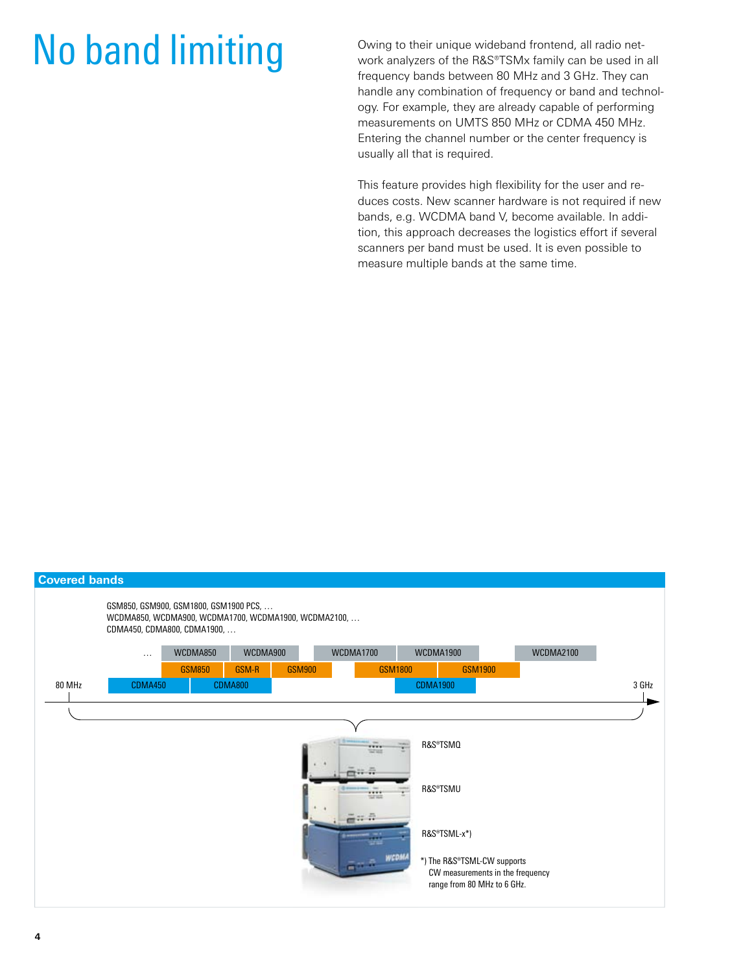# No band limiting **Owing to their unique wideband frontend**, all radio net-<br>work analyzers of the R&S®TSMx family can be used in

work analyzers of the R&S®TSMx family can be used in all frequency bands between 80 MHz and 3 GHz. They can handle any combination of frequency or band and technology. For example, they are already capable of performing measurements on UMTS 850 MHz or CDMA 450 MHz. Entering the channel number or the center frequency is usually all that is required.

This feature provides high flexibility for the user and reduces costs. New scanner hardware is not required if new bands, e.g. WCDMA band V, become available. In addition, this approach decreases the logistics effort if several scanners per band must be used. It is even possible to measure multiple bands at the same time.

| <b>Covered bands</b>    |                                                                                                                              |               |                |               |                |                 |                                                                 |                  |       |
|-------------------------|------------------------------------------------------------------------------------------------------------------------------|---------------|----------------|---------------|----------------|-----------------|-----------------------------------------------------------------|------------------|-------|
|                         | GSM850, GSM900, GSM1800, GSM1900 PCS,<br>WCDMA850, WCDMA900, WCDMA1700, WCDMA1900, WCDMA2100,<br>CDMA450, CDMA800, CDMA1900, |               |                |               |                |                 |                                                                 |                  |       |
|                         | $\cdots$                                                                                                                     | WCDMA850      | WCDMA900       |               | WCDMA1700      |                 | WCDMA1900                                                       | <b>WCDMA2100</b> |       |
|                         |                                                                                                                              | <b>GSM850</b> | GSM-R          | <b>GSM900</b> |                | GSM1800         | <b>GSM1900</b>                                                  |                  |       |
| 80 MHz                  | CDMA450                                                                                                                      |               | <b>CDMA800</b> |               |                | <b>CDMA1900</b> |                                                                 |                  | 3 GHz |
|                         |                                                                                                                              |               |                |               |                |                 |                                                                 |                  |       |
|                         |                                                                                                                              |               |                |               |                |                 |                                                                 |                  |       |
| R&S®TSMQ<br><br>$-7.05$ |                                                                                                                              |               |                |               |                |                 |                                                                 |                  |       |
|                         |                                                                                                                              |               |                |               |                |                 |                                                                 |                  |       |
|                         |                                                                                                                              |               |                |               |                |                 | R&S®TSMU                                                        |                  |       |
|                         |                                                                                                                              |               |                |               | m              |                 |                                                                 |                  |       |
|                         |                                                                                                                              |               |                |               | $\frac{1}{2}$  |                 |                                                                 |                  |       |
|                         |                                                                                                                              |               |                |               |                |                 | R&S®TSML-x*)                                                    |                  |       |
|                         |                                                                                                                              |               |                |               | T <sub>1</sub> | wcdn            | *) The R&S®TSML-CW supports                                     |                  |       |
|                         |                                                                                                                              |               |                |               |                |                 | CW measurements in the frequency<br>range from 80 MHz to 6 GHz. |                  |       |
|                         |                                                                                                                              |               |                |               |                |                 |                                                                 |                  |       |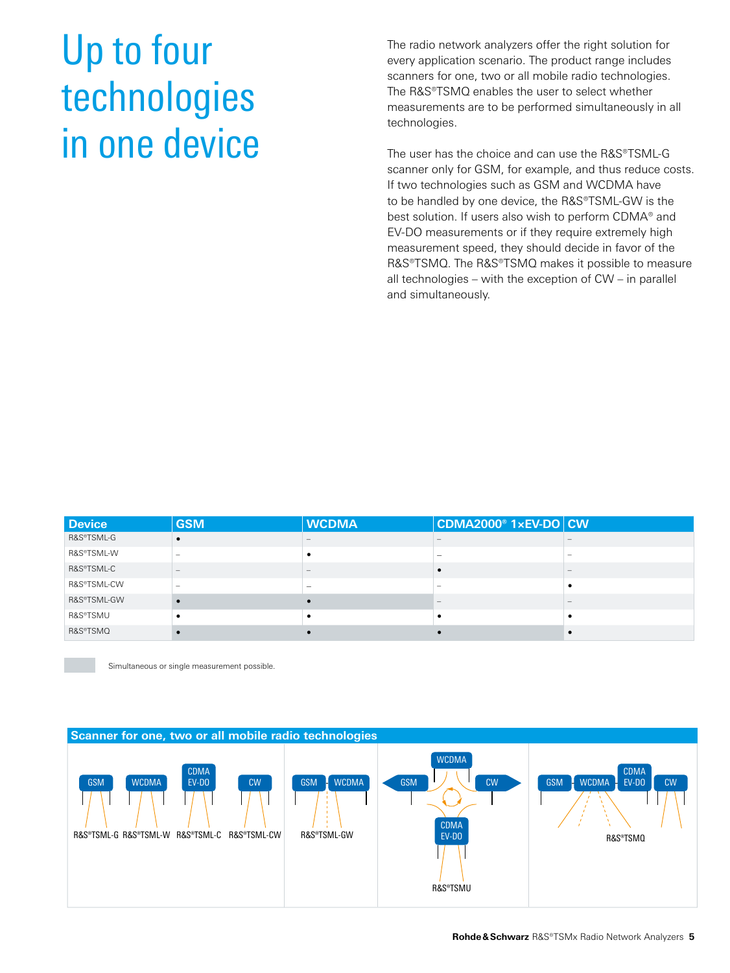# Up to four technologies in one device

The radio network analyzers offer the right solution for every application scenario. The product range includes scanners for one, two or all mobile radio technologies. The R&S®TSMQ enables the user to select whether measurements are to be performed simultaneously in all technologies.

The user has the choice and can use the R&S®TSML-G scanner only for GSM, for example, and thus reduce costs. If two technologies such as GSM and WCDMA have to be handled by one device, the R&S®TSML-GW is the best solution. If users also wish to perform CDMA® and EV-DO measurements or if they require extremely high measurement speed, they should decide in favor of the R&S®TSMQ. The R&S®TSMQ makes it possible to measure all technologies – with the exception of CW – in parallel and simultaneously.

| <b>Device</b> | <b>GSM</b> | <b>WCDMA</b> | $ $ CDMA2000 $^{\circ}$ 1xEV-DO $ $ CW |  |
|---------------|------------|--------------|----------------------------------------|--|
| R&S®TSML-G    |            |              |                                        |  |
| R&S®TSML-W    |            |              |                                        |  |
| R&S®TSML-C    |            |              |                                        |  |
| R&S®TSML-CW   |            | -            |                                        |  |
| R&S®TSML-GW   |            |              |                                        |  |
| R&S®TSMU      |            |              |                                        |  |
| R&S®TSMQ      |            |              |                                        |  |

Simultaneous or single measurement possible.

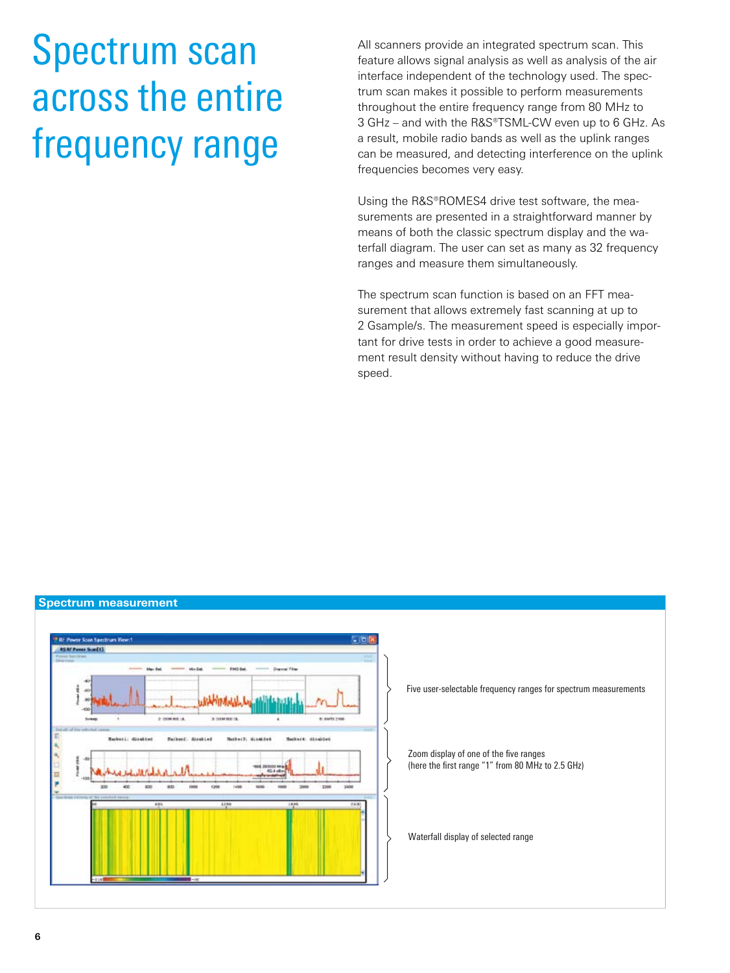# Spectrum scan across the entire frequency range

All scanners provide an integrated spectrum scan. This feature allows signal analysis as well as analysis of the air interface independent of the technology used. The spectrum scan makes it possible to perform measurements throughout the entire frequency range from 80 MHz to 3 GHz – and with the R&S®TSML-CW even up to 6 GHz. As a result, mobile radio bands as well as the uplink ranges can be measured, and detecting interference on the uplink frequencies becomes very easy.

Using the R&S®ROMES4 drive test software, the measurements are presented in a straightforward manner by means of both the classic spectrum display and the waterfall diagram. The user can set as many as 32 frequency ranges and measure them simultaneously.

The spectrum scan function is based on an FFT measurement that allows extremely fast scanning at up to 2 Gsample/s. The measurement speed is especially important for drive tests in order to achieve a good measurement result density without having to reduce the drive speed.

### **Spectrum measurement**

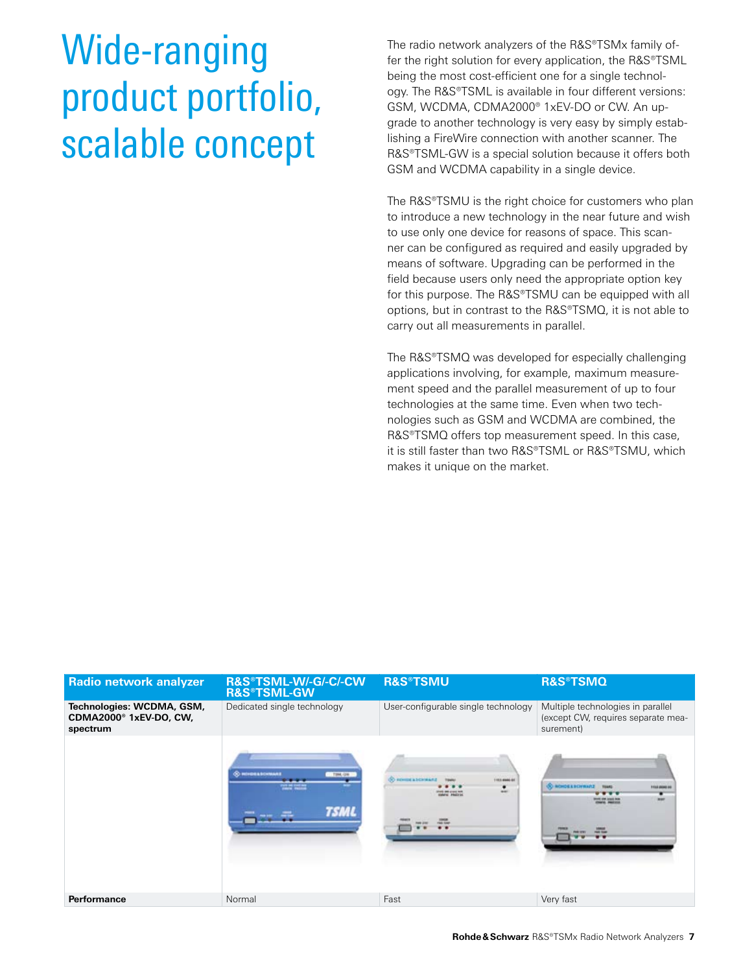# Wide-ranging product portfolio, scalable concept

The radio network analyzers of the R&S®TSMx family offer the right solution for every application, the R&S®TSML being the most cost-efficient one for a single technology. The R&S®TSML is available in four different versions: GSM, WCDMA, CDMA2000® 1xEV-DO or CW. An upgrade to another technology is very easy by simply establishing a FireWire connection with another scanner. The R&S®TSML-GW is a special solution because it offers both GSM and WCDMA capability in a single device.

The R&S®TSMU is the right choice for customers who plan to introduce a new technology in the near future and wish to use only one device for reasons of space. This scanner can be configured as required and easily upgraded by means of software. Upgrading can be performed in the field because users only need the appropriate option key for this purpose. The R&S®TSMU can be equipped with all options, but in contrast to the R&S®TSMQ, it is not able to carry out all measurements in parallel.

The R&S®TSMQ was developed for especially challenging applications involving, for example, maximum measurement speed and the parallel measurement of up to four technologies at the same time. Even when two technologies such as GSM and WCDMA are combined, the R&S®TSMQ offers top measurement speed. In this case, it is still faster than two R&S®TSML or R&S®TSMU, which makes it unique on the market.

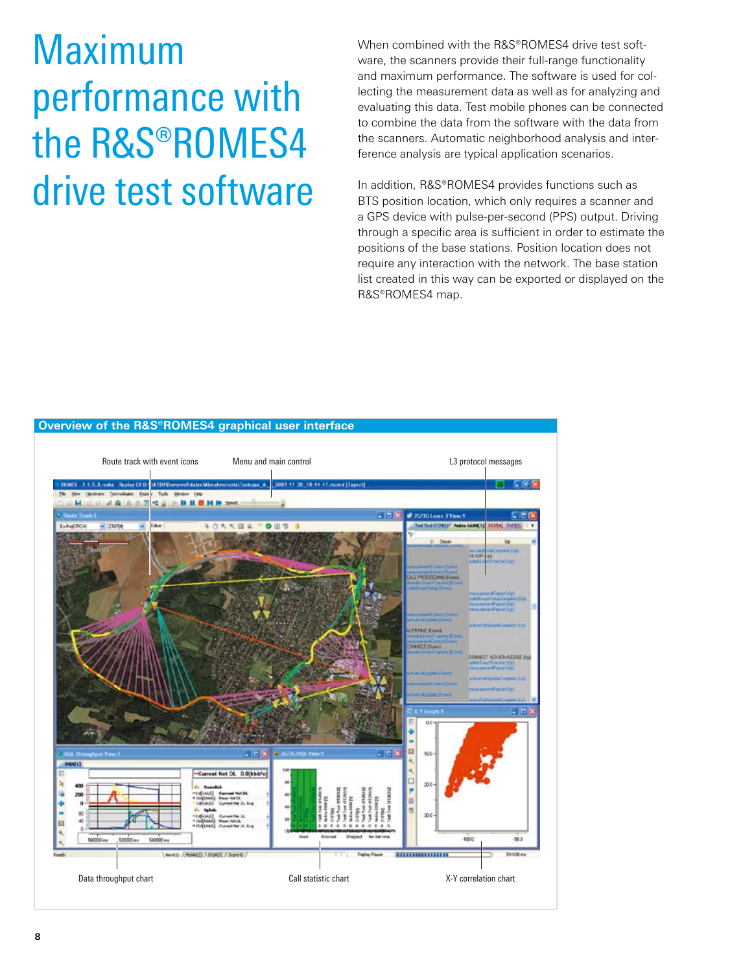# Maximum performance with the R&S®ROMES4 drive test software

When combined with the R&S®ROMES4 drive test software, the scanners provide their full-range functionality and maximum performance. The software is used for collecting the measurement data as well as for analyzing and evaluating this data. Test mobile phones can be connected to combine the data from the software with the data from the scanners. Automatic neighborhood analysis and interference analysis are typical application scenarios.

In addition, R&S®ROMES4 provides functions such as BTS position location, which only requires a scanner and a GPS device with pulse-per-second (PPS) output. Driving through a specific area is sufficient in order to estimate the positions of the base stations. Position location does not require any interaction with the network. The base station list created in this way can be exported or displayed on the R&S®ROMES4 map.

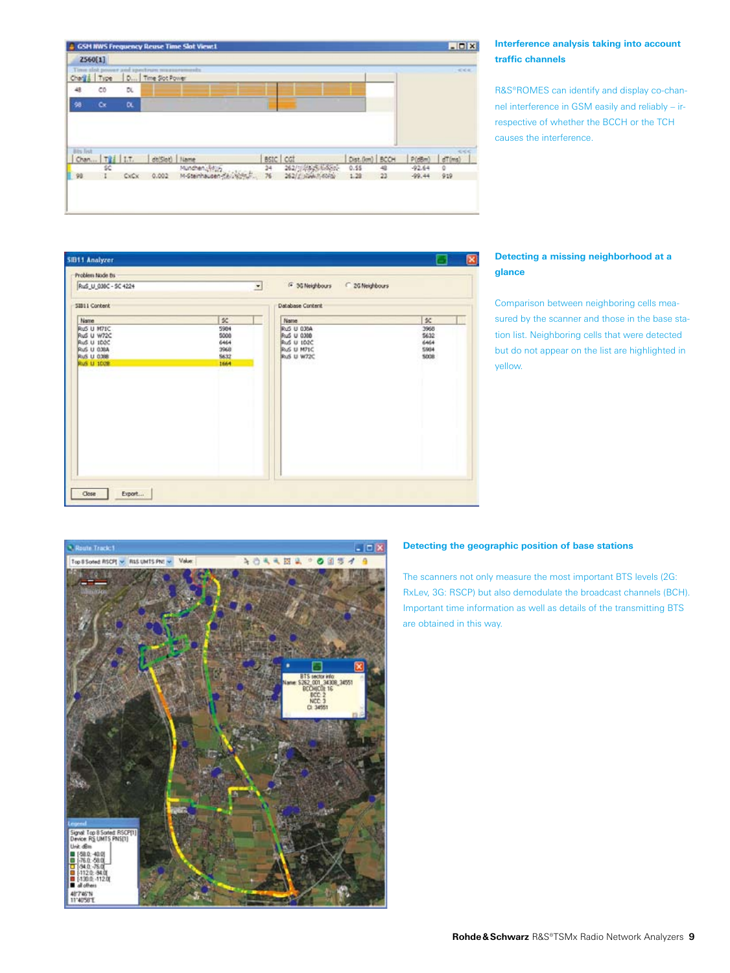

### **Interference analysis taking into account traffic channels**

R&S®ROMES can identify and display co-channel interference in GSM easily and reliably – irrespective of whether the BCCH or the TCH causes the interference.

| Problem Node Bs                                             |                               |                                                       |                             |
|-------------------------------------------------------------|-------------------------------|-------------------------------------------------------|-----------------------------|
| RuS U 030C - SC 4224                                        |                               | F 3G Neighbours C 2G Neighbours<br>Ξ                  |                             |
| SIB11 Content                                               |                               | Database Content                                      |                             |
| Name<br>RuS U M71C<br>Rus U W72C<br>Rus U 102C              | $\ll$<br>5904<br>5000<br>6464 | <b>Name</b><br>RuS U 036A<br>Rus U 0300<br>Rus U 102C | \$<<br>3968<br>5632<br>6464 |
| <b>RuS U 030A</b><br><b>Rus U 0.88</b><br><b>Rus U 1028</b> | 3960<br>5632<br>1664          | Rus LI M71C<br>Rus LI W72C                            | 5904<br>5008                |
|                                                             |                               |                                                       |                             |
|                                                             |                               |                                                       |                             |
|                                                             |                               |                                                       |                             |
|                                                             |                               |                                                       |                             |
|                                                             |                               |                                                       |                             |

### **Detecting a missing neighborhood at a glance**

Comparison between neighboring cells measured by the scanner and those in the base station list. Neighboring cells that were detected but do not appear on the list are highlighted in yellow.



### **Detecting the geographic position of base stations**

The scanners not only measure the most important BTS levels (2G: RxLev, 3G: RSCP) but also demodulate the broadcast channels (BCH). Important time information as well as details of the transmitting BTS are obtained in this way.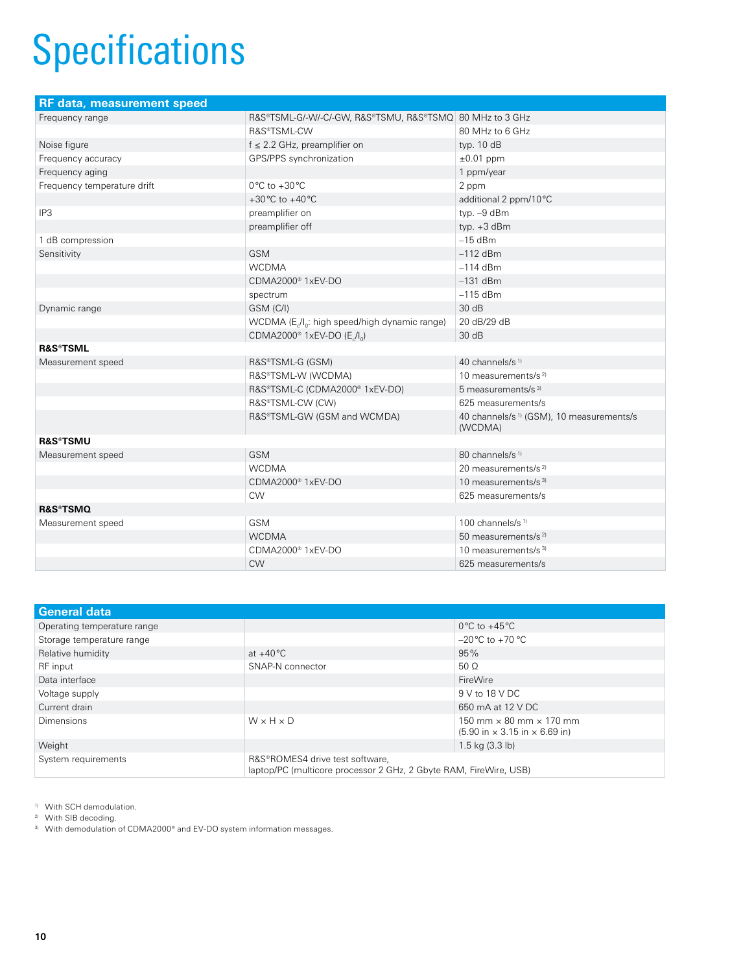# **Specifications**

| <b>RF</b> data, measurement speed |                                                                        |                                                                 |  |
|-----------------------------------|------------------------------------------------------------------------|-----------------------------------------------------------------|--|
| Frequency range                   | R&S®TSML-G/-W/-C/-GW, R&S®TSMU, R&S®TSMQ 80 MHz to 3 GHz               |                                                                 |  |
|                                   | R&S®TSML-CW                                                            | 80 MHz to 6 GHz                                                 |  |
| Noise figure                      | $f \leq 2.2$ GHz, preamplifier on                                      | typ. $10 dB$                                                    |  |
| Frequency accuracy                | GPS/PPS synchronization                                                | $\pm 0.01$ ppm                                                  |  |
| Frequency aging                   |                                                                        | 1 ppm/year                                                      |  |
| Frequency temperature drift       | $0^{\circ}$ C to +30 $^{\circ}$ C                                      | 2 ppm                                                           |  |
|                                   | +30 $^{\circ}$ C to +40 $^{\circ}$ C                                   | additional 2 ppm/10°C                                           |  |
| IP3                               | preamplifier on                                                        | typ. -9 dBm                                                     |  |
|                                   | preamplifier off                                                       | typ. $+3$ dBm                                                   |  |
| 1 dB compression                  |                                                                        | $-15$ dBm                                                       |  |
| Sensitivity                       | <b>GSM</b>                                                             | $-112$ dBm                                                      |  |
|                                   | <b>WCDMA</b>                                                           | $-114$ dBm                                                      |  |
|                                   | CDMA2000 <sup>®</sup> 1xEV-DO                                          | $-131$ dBm                                                      |  |
|                                   | spectrum                                                               | $-115$ dBm                                                      |  |
| Dynamic range                     | GSM (C/I)                                                              | 30dB                                                            |  |
|                                   | WCDMA (E <sub>c</sub> /I <sub>0</sub> : high speed/high dynamic range) | 20 dB/29 dB                                                     |  |
|                                   | CDMA2000 <sup>®</sup> 1xEV-DO (E./I <sub>o</sub> )                     | 30dB                                                            |  |
| <b>R&amp;S®TSML</b>               |                                                                        |                                                                 |  |
| Measurement speed                 | R&S®TSML-G (GSM)                                                       | 40 channels/s <sup>1)</sup>                                     |  |
|                                   | R&S®TSML-W (WCDMA)                                                     | 10 measurements/s <sup>2)</sup>                                 |  |
|                                   | R&S®TSML-C (CDMA2000® 1xEV-DO)                                         | 5 measurements/s <sup>3)</sup>                                  |  |
|                                   | R&S®TSML-CW (CW)                                                       | 625 measurements/s                                              |  |
|                                   | R&S®TSML-GW (GSM and WCMDA)                                            | 40 channels/s <sup>1)</sup> (GSM), 10 measurements/s<br>(WCDMA) |  |
| <b>R&amp;S®TSMU</b>               |                                                                        |                                                                 |  |
| Measurement speed                 | <b>GSM</b>                                                             | 80 channels/s <sup>1)</sup>                                     |  |
|                                   | <b>WCDMA</b>                                                           | 20 measurements/s <sup>2)</sup>                                 |  |
|                                   | CDMA2000 <sup>®</sup> 1xEV-DO                                          | 10 measurements/s <sup>3)</sup>                                 |  |
|                                   | <b>CW</b>                                                              | 625 measurements/s                                              |  |
| <b>R&amp;S®TSMQ</b>               |                                                                        |                                                                 |  |
| Measurement speed                 | <b>GSM</b>                                                             | 100 channels/s <sup>1)</sup>                                    |  |
|                                   | <b>WCDMA</b>                                                           | 50 measurements/s $^{2}$                                        |  |
|                                   | CDMA2000 <sup>®</sup> 1xEV-DO                                          | 10 measurements/s <sup>3)</sup>                                 |  |
|                                   | <b>CW</b>                                                              | 625 measurements/s                                              |  |

| General data                |                                                                                                      |                                                                                                            |  |
|-----------------------------|------------------------------------------------------------------------------------------------------|------------------------------------------------------------------------------------------------------------|--|
| Operating temperature range |                                                                                                      | $0^{\circ}$ C to +45 $^{\circ}$ C                                                                          |  |
| Storage temperature range   |                                                                                                      | $-20^{\circ}$ C to $+70^{\circ}$ C                                                                         |  |
| Relative humidity           | at $+40^{\circ}$ C                                                                                   | 95%                                                                                                        |  |
| RF input                    | SNAP-N connector                                                                                     | $50 \Omega$                                                                                                |  |
| Data interface              |                                                                                                      | FireWire                                                                                                   |  |
| Voltage supply              |                                                                                                      | 9 V to 18 V DC                                                                                             |  |
| Current drain               |                                                                                                      | 650 mA at 12 V DC                                                                                          |  |
| Dimensions                  | $W \times H \times D$                                                                                | 150 mm $\times$ 80 mm $\times$ 170 mm<br>$(5.90 \text{ in} \times 3.15 \text{ in} \times 6.69 \text{ in})$ |  |
| Weight                      |                                                                                                      | $1.5$ kg $(3.3)$ lb)                                                                                       |  |
| System requirements         | R&S®ROMES4 drive test software,<br>laptop/PC (multicore processor 2 GHz, 2 Gbyte RAM, FireWire, USB) |                                                                                                            |  |

<sup>1)</sup> With SCH demodulation.

<sup>2)</sup> With SIB decoding.

3) With demodulation of CDMA2000® and EV-DO system information messages.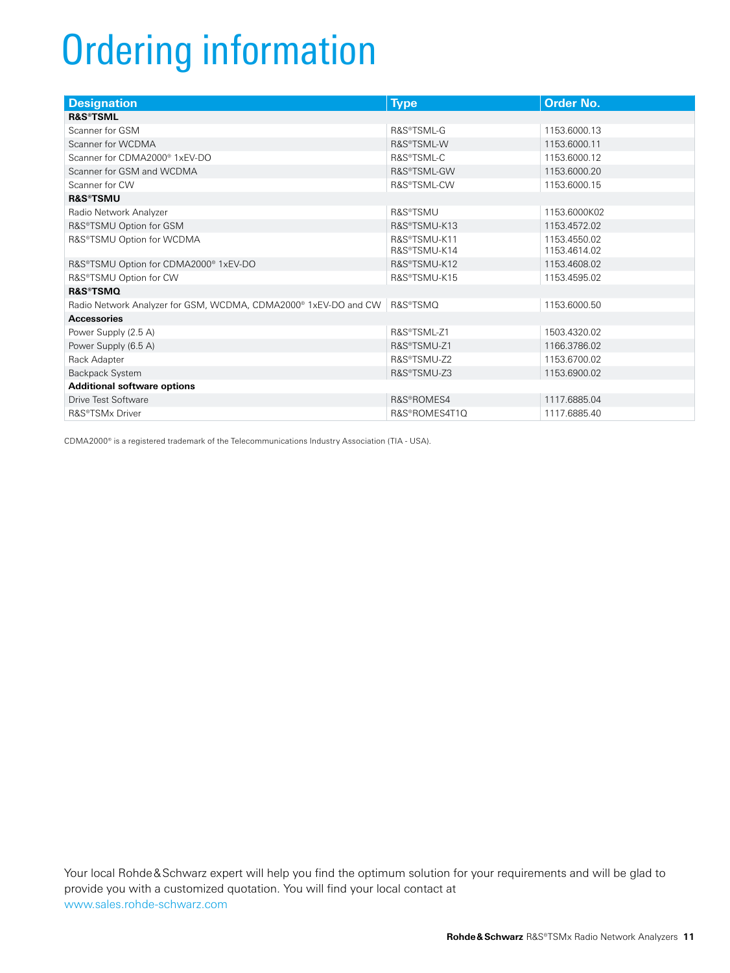# Ordering information

| <b>Designation</b>                                                          | <b>Type</b>                  | <b>Order No.</b>             |  |  |  |  |
|-----------------------------------------------------------------------------|------------------------------|------------------------------|--|--|--|--|
| <b>R&amp;S®TSML</b>                                                         |                              |                              |  |  |  |  |
| Scanner for GSM                                                             | R&S®TSML-G                   | 1153.6000.13                 |  |  |  |  |
| Scanner for WCDMA                                                           | R&S®TSML-W                   | 1153.6000.11                 |  |  |  |  |
| Scanner for CDMA2000® 1xEV-DO                                               | R&S®TSML-C                   | 1153.6000.12                 |  |  |  |  |
| Scanner for GSM and WCDMA                                                   | R&S®TSML-GW                  | 1153.6000.20                 |  |  |  |  |
| Scanner for CW                                                              | R&S®TSML-CW                  | 1153.6000.15                 |  |  |  |  |
| <b>R&amp;S®TSMU</b>                                                         |                              |                              |  |  |  |  |
| Radio Network Analyzer                                                      | R&S®TSMU                     | 1153.6000K02                 |  |  |  |  |
| R&S®TSMU Option for GSM                                                     | R&S®TSMU-K13                 | 1153.4572.02                 |  |  |  |  |
| R&S®TSMU Option for WCDMA                                                   | R&S®TSMU-K11<br>R&S®TSMU-K14 | 1153.4550.02<br>1153.4614.02 |  |  |  |  |
| R&S®TSMU Option for CDMA2000® 1xEV-DO                                       | R&S®TSMU-K12                 | 1153.4608.02                 |  |  |  |  |
| R&S®TSMU Option for CW                                                      | R&S®TSMU-K15                 | 1153.4595.02                 |  |  |  |  |
| <b>R&amp;S®TSMQ</b>                                                         |                              |                              |  |  |  |  |
| Radio Network Analyzer for GSM, WCDMA, CDMA2000 <sup>®</sup> 1xEV-DO and CW | R&S®TSMQ                     | 1153.6000.50                 |  |  |  |  |
| <b>Accessories</b>                                                          |                              |                              |  |  |  |  |
| Power Supply (2.5 A)                                                        | R&S®TSML-Z1                  | 1503.4320.02                 |  |  |  |  |
| Power Supply (6.5 A)                                                        | R&S®TSMU-Z1                  | 1166.3786.02                 |  |  |  |  |
| Rack Adapter                                                                | R&S®TSMU-Z2                  | 1153.6700.02                 |  |  |  |  |
| Backpack System                                                             | R&S®TSMU-Z3                  | 1153.6900.02                 |  |  |  |  |
| <b>Additional software options</b>                                          |                              |                              |  |  |  |  |
| Drive Test Software                                                         | R&S®ROMES4                   | 1117.6885.04                 |  |  |  |  |
| R&S®TSMx Driver                                                             | R&S®ROMES4T1Q                | 1117.6885.40                 |  |  |  |  |

CDMA2000® is a registered trademark of the Telecommunications Industry Association (TIA - USA).

Your local Rohde&Schwarz expert will help you find the optimum solution for your requirements and will be glad to provide you with a customized quotation. You will find your local contact at www.sales.rohde-schwarz.com